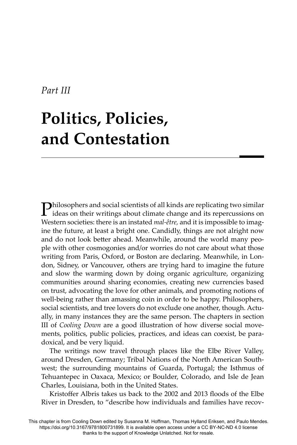## *Part III*

## **Politics, Policies, and Contestation**

**Philosophers and social scientists of all kinds are replicating two similar ideas on their writings about climate change and its repercussions on** Western societies: there is an instated *mal-être,* and it is impossible to imagine the future, at least a bright one. Candidly, things are not alright now and do not look better ahead. Meanwhile, around the world many people with other cosmogonies and/or worries do not care about what those writing from Paris, Oxford, or Boston are declaring. Meanwhile, in London, Sidney, or Vancouver, others are trying hard to imagine the future and slow the warming down by doing organic agriculture, organizing communities around sharing economies, creating new currencies based on trust, advocating the love for other animals, and promoting notions of well-being rather than amassing coin in order to be happy. Philosophers, social scientists, and tree lovers do not exclude one another, though. Actually, in many instances they are the same person. The chapters in section III of *Cooling Down* are a good illustration of how diverse social movements, politics, public policies, practices, and ideas can coexist, be paradoxical, and be very liquid.

The writings now travel through places like the Elbe River Valley, around Dresden, Germany; Tribal Nations of the North American Southwest; the surrounding mountains of Guarda, Portugal; the Isthmus of Tehuantepec in Oaxaca, Mexico; or Boulder, Colorado, and Isle de Jean Charles, Louisiana, both in the United States.

Kristoffer Albris takes us back to the 2002 and 2013 floods of the Elbe River in Dresden, to "describe how individuals and families have recov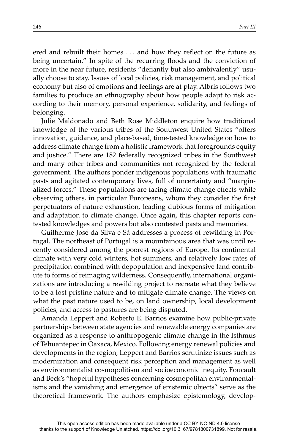ered and rebuilt their homes ... and how they reflect on the future as being uncertain." In spite of the recurring floods and the conviction of more in the near future, residents "defiantly but also ambivalently" usually choose to stay. Issues of local policies, risk management, and political economy but also of emotions and feelings are at play. Albris follows two families to produce an ethnography about how people adapt to risk according to their memory, personal experience, solidarity, and feelings of belonging.

Julie Maldonado and Beth Rose Middleton enquire how traditional knowledge of the various tribes of the Southwest United States "offers" innovation, guidance, and place-based, time-tested knowledge on how to address climate change from a holistic framework that foregrounds equity and justice." There are 182 federally recognized tribes in the Southwest and many other tribes and communities not recognized by the federal government. The authors ponder indigenous populations with traumatic pasts and agitated contemporary lives, full of uncertainty and "marginalized forces." These populations are facing climate change effects while observing others, in particular Europeans, whom they consider the first perpetuators of nature exhaustion, leading dubious forms of mitigation and adaptation to climate change. Once again, this chapter reports contested knowledges and powers but also contested pasts and memories.

Guilherme José da Silva e Sá addresses a process of rewilding in Portugal. The northeast of Portugal is a mountainous area that was until recently considered among the poorest regions of Europe. Its continental climate with very cold winters, hot summers, and relatively low rates of precipitation combined with depopulation and inexpensive land contribute to forms of reimaging wilderness. Consequently, international organizations are introducing a rewilding project to recreate what they believe to be a lost pristine nature and to mitigate climate change. The views on what the past nature used to be, on land ownership, local development policies, and access to pastures are being disputed.

Amanda Leppert and Roberto E. Barrios examine how public-private partnerships between state agencies and renewable energy companies are organized as a response to anthropogenic climate change in the Isthmus of Tehuantepec in Oaxaca, Mexico. Following energy renewal policies and developments in the region, Leppert and Barrios scrutinize issues such as modernization and consequent risk perception and management as well as environmentalist cosmopolitism and socioeconomic inequity. Foucault and Beck's "hopeful hypotheses concerning cosmopolitan environmentalisms and the vanishing and emergence of epistemic objects" serve as the theoretical framework. The authors emphasize epistemology, develop